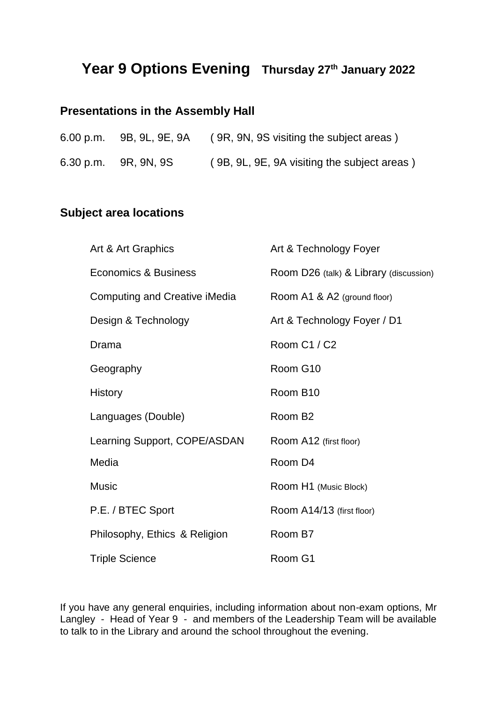## **Year 9 Options Evening Thursday 27th January 2022**

## **Presentations in the Assembly Hall**

| 6.00 p.m. 9B, 9L, 9E, 9A | (9R, 9N, 9S visiting the subject areas)     |
|--------------------------|---------------------------------------------|
| 6.30 p.m. 9R, 9N, 9S     | (9B, 9L, 9E, 9A visiting the subject areas) |

## **Subject area locations**

| Art & Art Graphics                   | Art & Technology Foyer                 |
|--------------------------------------|----------------------------------------|
| Economics & Business                 | Room D26 (talk) & Library (discussion) |
| <b>Computing and Creative iMedia</b> | Room A1 & A2 (ground floor)            |
| Design & Technology                  | Art & Technology Foyer / D1            |
| Drama                                | Room C1 / C2                           |
| Geography                            | Room G10                               |
| History                              | Room B10                               |
| Languages (Double)                   | Room B <sub>2</sub>                    |
| Learning Support, COPE/ASDAN         | Room A12 (first floor)                 |
| Media                                | Room D4                                |
| <b>Music</b>                         | Room H1 (Music Block)                  |
| P.E. / BTEC Sport                    | Room A14/13 (first floor)              |
| Philosophy, Ethics & Religion        | Room B7                                |
| <b>Triple Science</b>                | Room G1                                |

If you have any general enquiries, including information about non-exam options, Mr Langley - Head of Year 9 - and members of the Leadership Team will be available to talk to in the Library and around the school throughout the evening.